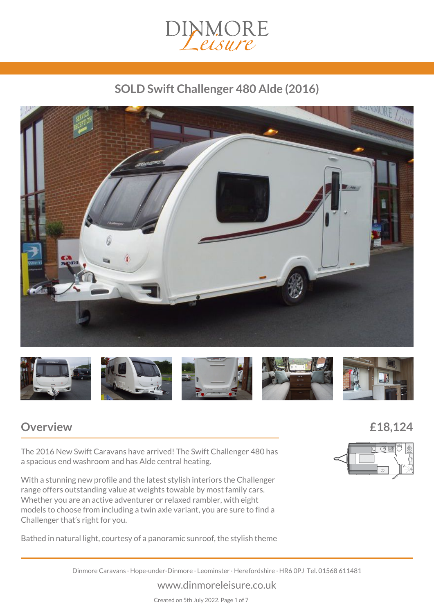

# *SOLD Swift Challenger 480 Alde (2016)*





## *Overview £18,124*

*The 2016 New Swift Caravans have arrived! The Swift Challenger 480 has a spacious end washroom and has Alde central heating.*

*With a stunning new profile and the latest stylish interiors the Challenger range offers outstanding value at weights towable by most family cars. Whether you are an active adventurer or relaxed rambler, with eight models to choose from including a twin axle variant, you are sure to find a Challenger that's right for you.*

*Bathed in natural light, courtesy of a panoramic sunroof, the stylish theme*



*Dinmore Caravans · Hope-under-Dinmore · Leominster · Herefordshire · HR6 0PJ Tel. 01568 611481*

#### *www.dinmoreleisure.co.uk*

*Created on 5th July 2022. Page 1 of 7*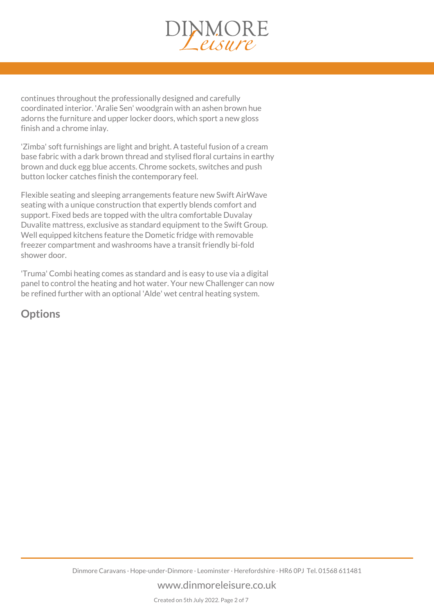

*continues throughout the professionally designed and carefully coordinated interior. 'Aralie Sen' woodgrain with an ashen brown hue adorns the furniture and upper locker doors, which sport a new gloss finish and a chrome inlay.*

*'Zimba' soft furnishings are light and bright. A tasteful fusion of a cream base fabric with a dark brown thread and stylised floral curtains in earthy brown and duck egg blue accents. Chrome sockets, switches and push button locker catches finish the contemporary feel.*

*Flexible seating and sleeping arrangements feature new Swift AirWave seating with a unique construction that expertly blends comfort and support. Fixed beds are topped with the ultra comfortable Duvalay Duvalite mattress, exclusive as standard equipment to the Swift Group. Well equipped kitchens feature the Dometic fridge with removable freezer compartment and washrooms have a transit friendly bi-fold shower door.*

*'Truma' Combi heating comes as standard and is easy to use via a digital panel to control the heating and hot water. Your new Challenger can now be refined further with an optional 'Alde' wet central heating system.*

## *Options*

#### *www.dinmoreleisure.co.uk*

*Created on 5th July 2022. Page 2 of 7*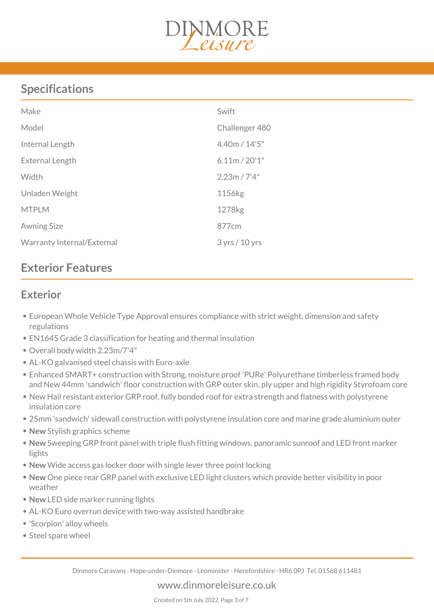

# *Specifications*

| Make                       | Swift          |
|----------------------------|----------------|
| Model                      | Challenger 480 |
| Internal Length            | 4.40m / 14'5"  |
| External Length            | 6.11m / 20'1'' |
| Width                      | 2.23m / 7'4"   |
| Unladen Weight             | 1156kg         |
| <b>MTPLM</b>               | 1278kg         |
| <b>Awning Size</b>         | 877cm          |
| Warranty Internal/External | 3 yrs / 10 yrs |

# *Exterior Features*

## *Exterior*

- *European Whole Vehicle Type Approval ensures compliance with strict weight, dimension and safety regulations*
- *EN1645 Grade 3 classification for heating and thermal insulation*
- *Overall body width 2.23m/7'4"*
- *AL-KO galvanised steel chassis with Euro-axle*
- *Enhanced SMART+ construction with Strong, moisture proof 'PURe' Polyurethane timberless framed body and New 44mm 'sandwich' floor construction with GRP outer skin, ply upper and high rigidity Styrofoam core*
- *New Hail resistant exterior GRP roof, fully bonded roof for extra strength and flatness with polystyrene insulation core*
- *25mm 'sandwich' sidewall construction with polystyrene insulation core and marine grade aluminium outer*
- *New Stylish graphics scheme*
- *New Sweeping GRP front panel with triple flush fitting windows, panoramic sunroof and LED front marker lights*
- *New Wide access gas locker door with single lever three point locking*
- *New One piece rear GRP panel with exclusive LED light clusters which provide better visibility in poor weather*
- *New LED side marker running lights*
- *AL-KO Euro overrun device with two-way assisted handbrake*
- *'Scorpion' alloy wheels*
- *Steel spare wheel*

*Dinmore Caravans · Hope-under-Dinmore · Leominster · Herefordshire · HR6 0PJ Tel. 01568 611481*

*www.dinmoreleisure.co.uk*

*Created on 5th July 2022. Page 3 of 7*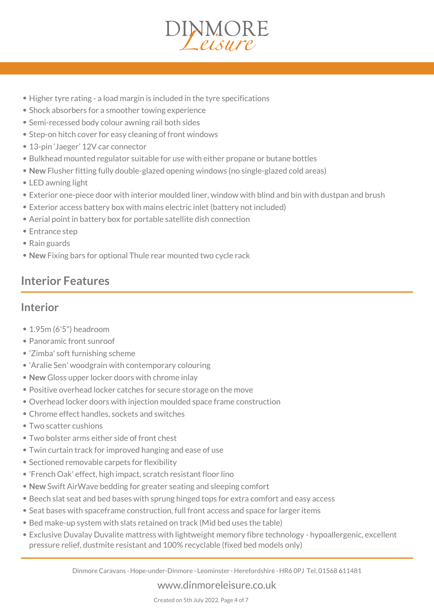

- *Higher tyre rating a load margin is included in the tyre specifications*
- *Shock absorbers for a smoother towing experience*
- *Semi-recessed body colour awning rail both sides*
- *Step-on hitch cover for easy cleaning of front windows*
- *13-pin 'Jaeger' 12V car connector*
- *Bulkhead mounted regulator suitable for use with either propane or butane bottles*
- *New Flusher fitting fully double-glazed opening windows (no single-glazed cold areas)*
- *LED awning light*
- *Exterior one-piece door with interior moulded liner, window with blind and bin with dustpan and brush*
- *Exterior access battery box with mains electric inlet (battery not included)*
- *Aerial point in battery box for portable satellite dish connection*
- *Entrance step*
- *Rain guards*
- *New Fixing bars for optional Thule rear mounted two cycle rack*

# *Interior Features*

## *Interior*

- *1.95m (6'5") headroom*
- *Panoramic front sunroof*
- *'Zimba' soft furnishing scheme*
- *'Aralie Sen' woodgrain with contemporary colouring*
- *New Gloss upper locker doors with chrome inlay*
- *Positive overhead locker catches for secure storage on the move*
- *Overhead locker doors with injection moulded space frame construction*
- *Chrome effect handles, sockets and switches*
- *Two scatter cushions*
- *Two bolster arms either side of front chest*
- *Twin curtain track for improved hanging and ease of use*
- *Sectioned removable carpets for flexibility*
- *'French Oak' effect, high impact, scratch resistant floor lino*
- *New Swift AirWave bedding for greater seating and sleeping comfort*
- *Beech slat seat and bed bases with sprung hinged tops for extra comfort and easy access*
- *Seat bases with spaceframe construction, full front access and space for larger items*
- *Bed make-up system with slats retained on track (Mid bed uses the table)*
- *Exclusive Duvalay Duvalite mattress with lightweight memory fibre technology hypoallergenic, excellent pressure relief, dustmite resistant and 100% recyclable (fixed bed models only)*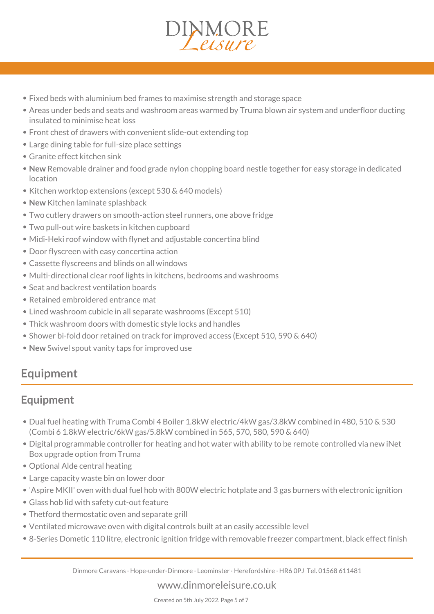

- *Fixed beds with aluminium bed frames to maximise strength and storage space*
- *Areas under beds and seats and washroom areas warmed by Truma blown air system and underfloor ducting insulated to minimise heat loss*
- *Front chest of drawers with convenient slide-out extending top*
- *Large dining table for full-size place settings*
- *Granite effect kitchen sink*
- *New Removable drainer and food grade nylon chopping board nestle together for easy storage in dedicated location*
- *Kitchen worktop extensions (except 530 & 640 models)*
- *New Kitchen laminate splashback*
- *Two cutlery drawers on smooth-action steel runners, one above fridge*
- *Two pull-out wire baskets in kitchen cupboard*
- *Midi-Heki roof window with flynet and adjustable concertina blind*
- *Door flyscreen with easy concertina action*
- *Cassette flyscreens and blinds on all windows*
- *Multi-directional clear roof lights in kitchens, bedrooms and washrooms*
- *Seat and backrest ventilation boards*
- *Retained embroidered entrance mat*
- *Lined washroom cubicle in all separate washrooms (Except 510)*
- *Thick washroom doors with domestic style locks and handles*
- *Shower bi-fold door retained on track for improved access (Except 510, 590 & 640)*
- *New Swivel spout vanity taps for improved use*

## *Equipment*

## *Equipment*

- *Dual fuel heating with Truma Combi 4 Boiler 1.8kW electric/4kW gas/3.8kW combined in 480, 510 & 530 (Combi 6 1.8kW electric/6kW gas/5.8kW combined in 565, 570, 580, 590 & 640)*
- *Digital programmable controller for heating and hot water with ability to be remote controlled via new iNet Box upgrade option from Truma*
- *Optional Alde central heating*
- *Large capacity waste bin on lower door*
- *'Aspire MKII' oven with dual fuel hob with 800W electric hotplate and 3 gas burners with electronic ignition*
- *Glass hob lid with safety cut-out feature*
- *Thetford thermostatic oven and separate grill*
- *Ventilated microwave oven with digital controls built at an easily accessible level*
- *8-Series Dometic 110 litre, electronic ignition fridge with removable freezer compartment, black effect finish*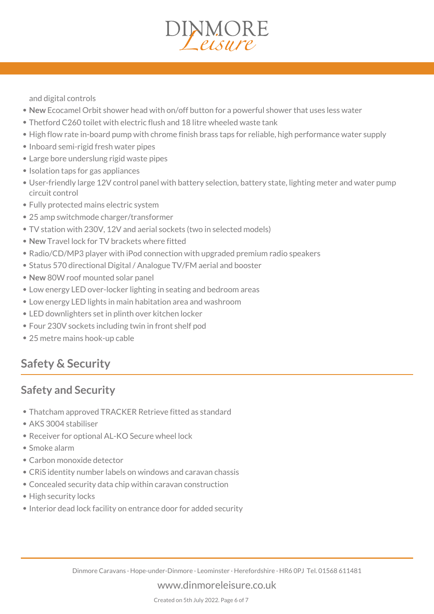*and digital controls*

- *New Ecocamel Orbit shower head with on/off button for a powerful shower that uses less water*
- *Thetford C260 toilet with electric flush and 18 litre wheeled waste tank*
- *High flow rate in-board pump with chrome finish brass taps for reliable, high performance water supply*

INMORE

- *Inboard semi-rigid fresh water pipes*
- *Large bore underslung rigid waste pipes*
- *Isolation taps for gas appliances*
- *User-friendly large 12V control panel with battery selection, battery state, lighting meter and water pump circuit control*
- *Fully protected mains electric system*
- *25 amp switchmode charger/transformer*
- *TV station with 230V, 12V and aerial sockets (two in selected models)*
- *New Travel lock for TV brackets where fitted*
- *Radio/CD/MP3 player with iPod connection with upgraded premium radio speakers*
- *Status 570 directional Digital / Analogue TV/FM aerial and booster*
- *New 80W roof mounted solar panel*
- *Low energy LED over-locker lighting in seating and bedroom areas*
- *Low energy LED lights in main habitation area and washroom*
- *LED downlighters set in plinth over kitchen locker*
- *Four 230V sockets including twin in front shelf pod*
- *25 metre mains hook-up cable*

## *Safety & Security*

### *Safety and Security*

- *Thatcham approved TRACKER Retrieve fitted as standard*
- *AKS 3004 stabiliser*
- *Receiver for optional AL-KO Secure wheel lock*
- *Smoke alarm*
- *Carbon monoxide detector*
- *CRiS identity number labels on windows and caravan chassis*
- *Concealed security data chip within caravan construction*
- *High security locks*
- *Interior dead lock facility on entrance door for added security*